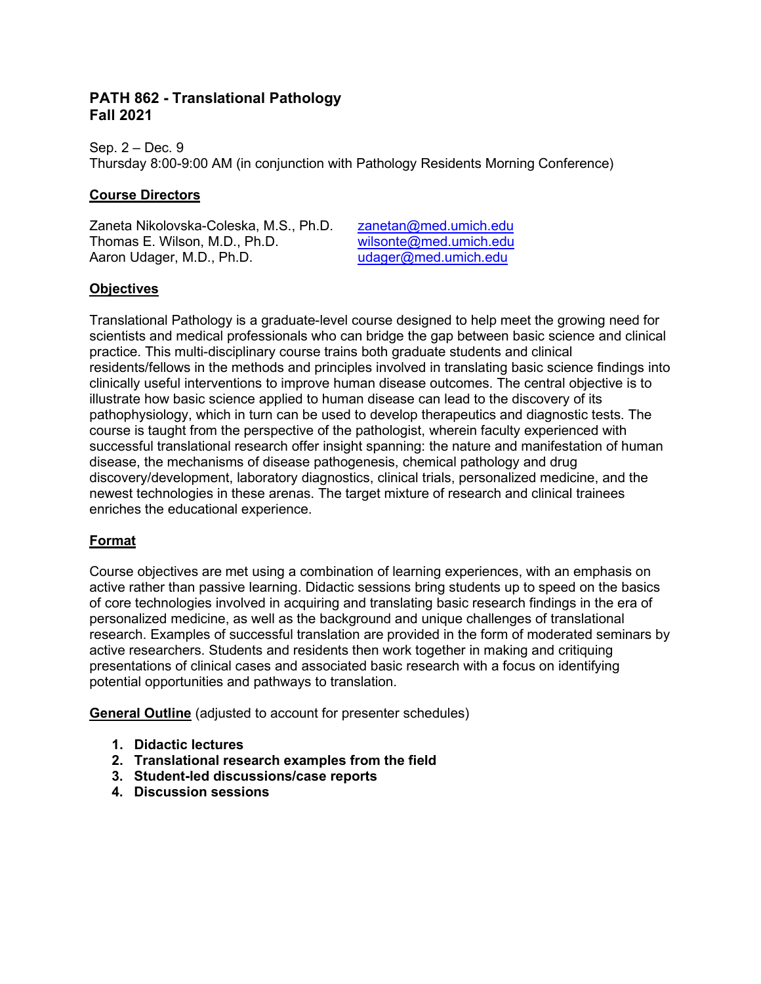# **PATH 862 - Translational Pathology Fall 2021**

Sep. 2 – Dec. 9 Thursday 8:00-9:00 AM (in conjunction with Pathology Residents Morning Conference)

## **Course Directors**

Zaneta Nikolovska-Coleska, M.S., Ph.D. [zanetan@med.umich.edu](mailto:zanetan@med.umich.edu)<br>Thomas E. Wilson, M.D., Ph.D. wilsonte@med.umich.edu Thomas E. Wilson, M.D., Ph.D. [wilsonte@med.umich.edu](mailto:wilsonte@med.umich.edu)<br>Aaron Udager, M.D., Ph.D. wilsonte@med.umich.edu Aaron Udager, M.D., Ph.D.

### **Objectives**

Translational Pathology is a graduate-level course designed to help meet the growing need for scientists and medical professionals who can bridge the gap between basic science and clinical practice. This multi-disciplinary course trains both graduate students and clinical residents/fellows in the methods and principles involved in translating basic science findings into clinically useful interventions to improve human disease outcomes. The central objective is to illustrate how basic science applied to human disease can lead to the discovery of its pathophysiology, which in turn can be used to develop therapeutics and diagnostic tests. The course is taught from the perspective of the pathologist, wherein faculty experienced with successful translational research offer insight spanning: the nature and manifestation of human disease, the mechanisms of disease pathogenesis, chemical pathology and drug discovery/development, laboratory diagnostics, clinical trials, personalized medicine, and the newest technologies in these arenas. The target mixture of research and clinical trainees enriches the educational experience.

# **Format**

Course objectives are met using a combination of learning experiences, with an emphasis on active rather than passive learning. Didactic sessions bring students up to speed on the basics of core technologies involved in acquiring and translating basic research findings in the era of personalized medicine, as well as the background and unique challenges of translational research. Examples of successful translation are provided in the form of moderated seminars by active researchers. Students and residents then work together in making and critiquing presentations of clinical cases and associated basic research with a focus on identifying potential opportunities and pathways to translation.

**General Outline** (adjusted to account for presenter schedules)

- **1. Didactic lectures**
- **2. Translational research examples from the field**
- **3. Student-led discussions/case reports**
- **4. Discussion sessions**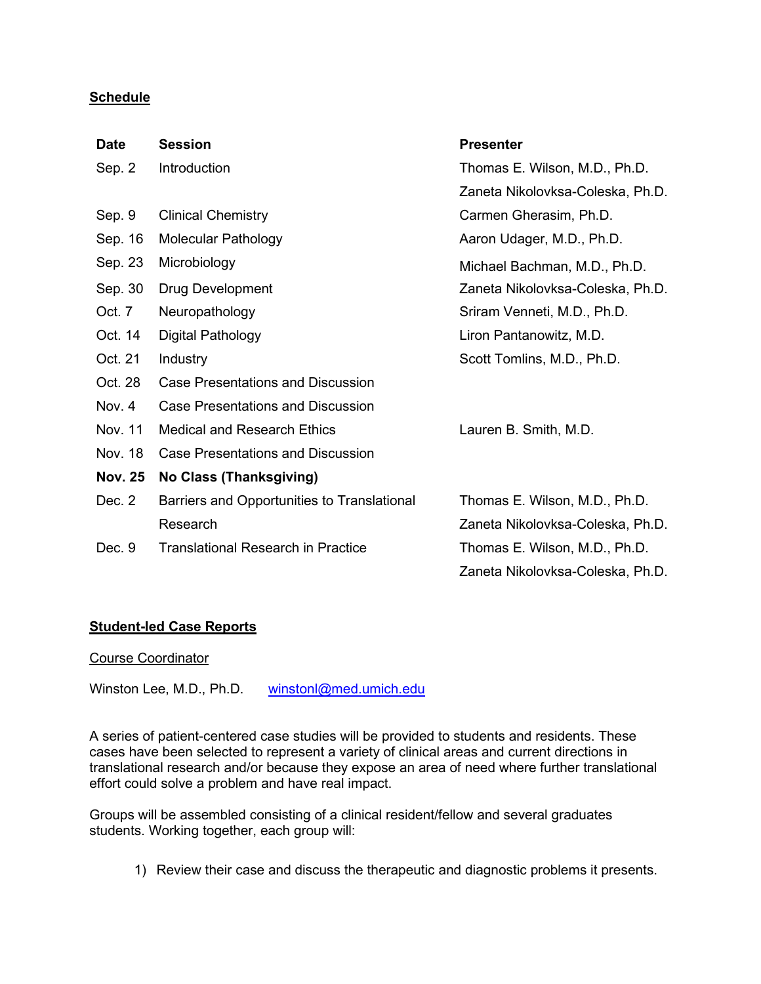### **Schedule**

| <b>Date</b>    | <b>Session</b>                              | <b>Presenter</b>                 |
|----------------|---------------------------------------------|----------------------------------|
| Sep. 2         | Introduction                                | Thomas E. Wilson, M.D., Ph.D.    |
|                |                                             | Zaneta Nikolovksa-Coleska, Ph.D. |
| Sep. 9         | <b>Clinical Chemistry</b>                   | Carmen Gherasim, Ph.D.           |
| Sep. 16        | <b>Molecular Pathology</b>                  | Aaron Udager, M.D., Ph.D.        |
| Sep. 23        | Microbiology                                | Michael Bachman, M.D., Ph.D.     |
| Sep. 30        | Drug Development                            | Zaneta Nikolovksa-Coleska, Ph.D. |
| Oct. 7         | Neuropathology                              | Sriram Venneti, M.D., Ph.D.      |
| Oct. 14        | Digital Pathology                           | Liron Pantanowitz, M.D.          |
| Oct. 21        | Industry                                    | Scott Tomlins, M.D., Ph.D.       |
| Oct. 28        | <b>Case Presentations and Discussion</b>    |                                  |
| Nov. 4         | <b>Case Presentations and Discussion</b>    |                                  |
| Nov. 11        | <b>Medical and Research Ethics</b>          | Lauren B. Smith, M.D.            |
| Nov. 18        | <b>Case Presentations and Discussion</b>    |                                  |
| <b>Nov. 25</b> | No Class (Thanksgiving)                     |                                  |
| Dec. 2         | Barriers and Opportunities to Translational | Thomas E. Wilson, M.D., Ph.D.    |
|                | Research                                    | Zaneta Nikolovksa-Coleska, Ph.D. |
| Dec. 9         | Translational Research in Practice          | Thomas E. Wilson, M.D., Ph.D.    |
|                |                                             | Zaneta Nikolovksa-Coleska, Ph.D. |

### **Student-led Case Reports**

#### Course Coordinator

Winston Lee, M.D., Ph.D. [winstonl@med.umich.edu](mailto:winstonl@med.umich.edu)

A series of patient-centered case studies will be provided to students and residents. These cases have been selected to represent a variety of clinical areas and current directions in translational research and/or because they expose an area of need where further translational effort could solve a problem and have real impact.

Groups will be assembled consisting of a clinical resident/fellow and several graduates students. Working together, each group will:

1) Review their case and discuss the therapeutic and diagnostic problems it presents.